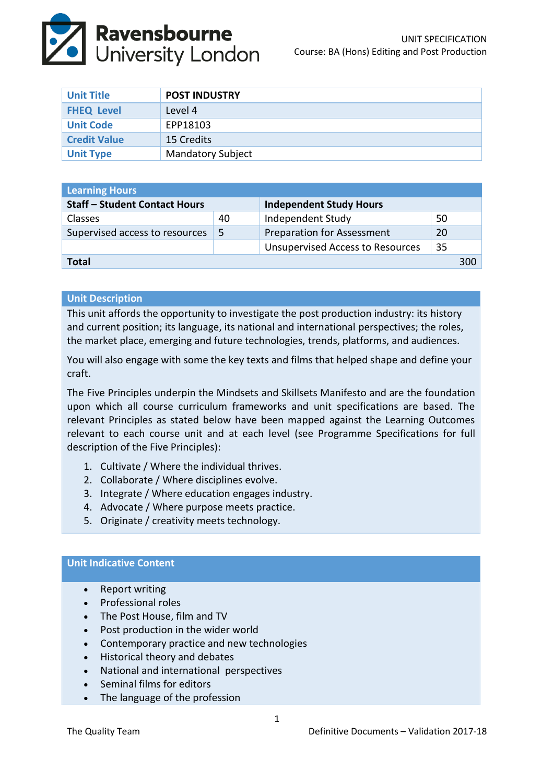

| <b>Unit Title</b>   | <b>POST INDUSTRY</b>     |
|---------------------|--------------------------|
| <b>FHEQ Level</b>   | Level 4                  |
| <b>Unit Code</b>    | EPP18103                 |
| <b>Credit Value</b> | 15 Credits               |
| <b>Unit Type</b>    | <b>Mandatory Subject</b> |

| <b>Learning Hours</b>                |    |                                         |    |     |  |  |
|--------------------------------------|----|-----------------------------------------|----|-----|--|--|
| <b>Staff - Student Contact Hours</b> |    | <b>Independent Study Hours</b>          |    |     |  |  |
| <b>Classes</b>                       | 40 | Independent Study                       | 50 |     |  |  |
| Supervised access to resources       | -5 | <b>Preparation for Assessment</b>       | 20 |     |  |  |
|                                      |    | <b>Unsupervised Access to Resources</b> | 35 |     |  |  |
| <b>Total</b>                         |    |                                         |    | 300 |  |  |

## **Unit Description**

This unit affords the opportunity to investigate the post production industry: its history and current position; its language, its national and international perspectives; the roles, the market place, emerging and future technologies, trends, platforms, and audiences.

You will also engage with some the key texts and films that helped shape and define your craft.

The Five Principles underpin the Mindsets and Skillsets Manifesto and are the foundation upon which all course curriculum frameworks and unit specifications are based. The relevant Principles as stated below have been mapped against the Learning Outcomes relevant to each course unit and at each level (see Programme Specifications for full description of the Five Principles):

- 1. Cultivate / Where the individual thrives.
- 2. Collaborate / Where disciplines evolve.
- 3. Integrate / Where education engages industry.
- 4. Advocate / Where purpose meets practice.
- 5. Originate / creativity meets technology.

## **Unit Indicative Content**

- Report writing
- Professional roles
- The Post House, film and TV
- Post production in the wider world
- Contemporary practice and new technologies
- Historical theory and debates
- National and international perspectives
- Seminal films for editors
- The language of the profession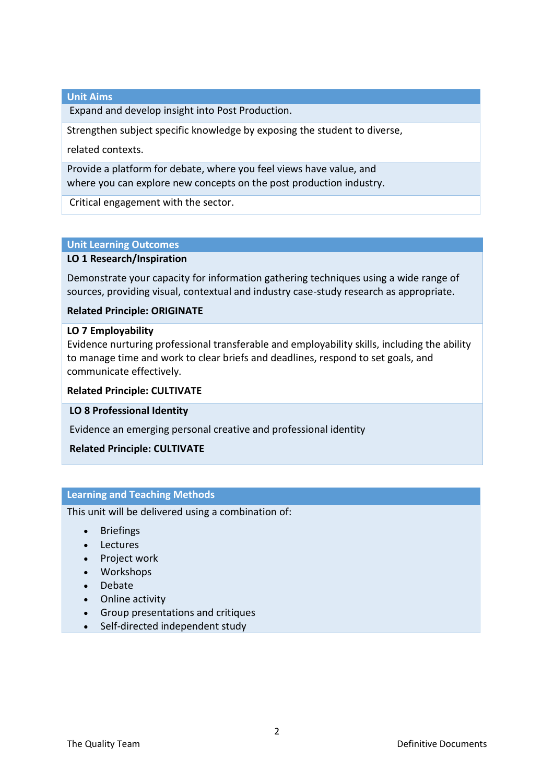#### **Unit Aims**

Expand and develop insight into Post Production.

Strengthen subject specific knowledge by exposing the student to diverse,

related contexts.

Provide a platform for debate, where you feel views have value, and where you can explore new concepts on the post production industry.

Critical engagement with the sector.

## **Unit Learning Outcomes**

## **LO 1 Research/Inspiration**

Demonstrate your capacity for information gathering techniques using a wide range of sources, providing visual, contextual and industry case-study research as appropriate.

## **Related Principle: ORIGINATE**

## **LO 7 Employability**

Evidence nurturing professional transferable and employability skills, including the ability to manage time and work to clear briefs and deadlines, respond to set goals, and communicate effectively.

#### **Related Principle: CULTIVATE**

#### **LO 8 Professional Identity**

Evidence an emerging personal creative and professional identity

#### **Related Principle: CULTIVATE**

#### **Learning and Teaching Methods**

This unit will be delivered using a combination of:

- Briefings
- Lectures
- Project work
- Workshops
- Debate
- Online activity
- Group presentations and critiques
- Self-directed independent study